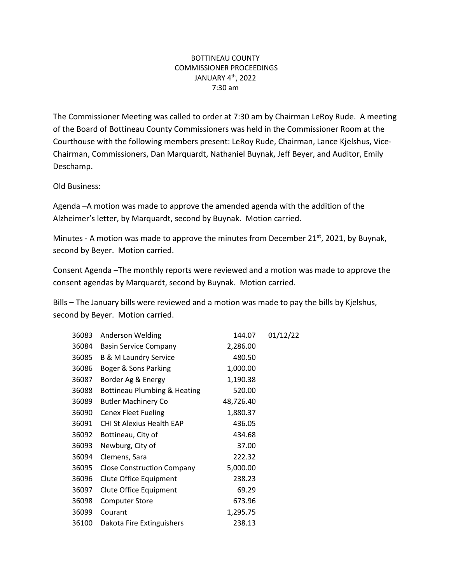## BOTTINEAU COUNTY COMMISSIONER PROCEEDINGS JANUARY 4th, 2022 7:30 am

The Commissioner Meeting was called to order at 7:30 am by Chairman LeRoy Rude. A meeting of the Board of Bottineau County Commissioners was held in the Commissioner Room at the Courthouse with the following members present: LeRoy Rude, Chairman, Lance Kjelshus, Vice-Chairman, Commissioners, Dan Marquardt, Nathaniel Buynak, Jeff Beyer, and Auditor, Emily Deschamp.

Old Business:

Agenda –A motion was made to approve the amended agenda with the addition of the Alzheimer's letter, by Marquardt, second by Buynak. Motion carried.

Minutes - A motion was made to approve the minutes from December 21 $st$ , 2021, by Buynak, second by Beyer. Motion carried.

Consent Agenda –The monthly reports were reviewed and a motion was made to approve the consent agendas by Marquardt, second by Buynak. Motion carried.

Bills – The January bills were reviewed and a motion was made to pay the bills by Kjelshus, second by Beyer. Motion carried.

| 36083 | Anderson Welding                  | 144.07    | 01/12/22 |
|-------|-----------------------------------|-----------|----------|
| 36084 | <b>Basin Service Company</b>      | 2,286.00  |          |
| 36085 | <b>B &amp; M Laundry Service</b>  | 480.50    |          |
| 36086 | Boger & Sons Parking              | 1,000.00  |          |
| 36087 | Border Ag & Energy                | 1,190.38  |          |
| 36088 | Bottineau Plumbing & Heating      | 520.00    |          |
| 36089 | <b>Butler Machinery Co</b>        | 48,726.40 |          |
| 36090 | <b>Cenex Fleet Fueling</b>        | 1,880.37  |          |
| 36091 | <b>CHI St Alexius Health EAP</b>  | 436.05    |          |
| 36092 | Bottineau, City of                | 434.68    |          |
| 36093 | Newburg, City of                  | 37.00     |          |
| 36094 | Clemens, Sara                     | 222.32    |          |
| 36095 | <b>Close Construction Company</b> | 5,000.00  |          |
| 36096 | Clute Office Equipment            | 238.23    |          |
| 36097 | Clute Office Equipment            | 69.29     |          |
| 36098 | <b>Computer Store</b>             | 673.96    |          |
| 36099 | Courant                           | 1,295.75  |          |
| 36100 | Dakota Fire Extinguishers         | 238.13    |          |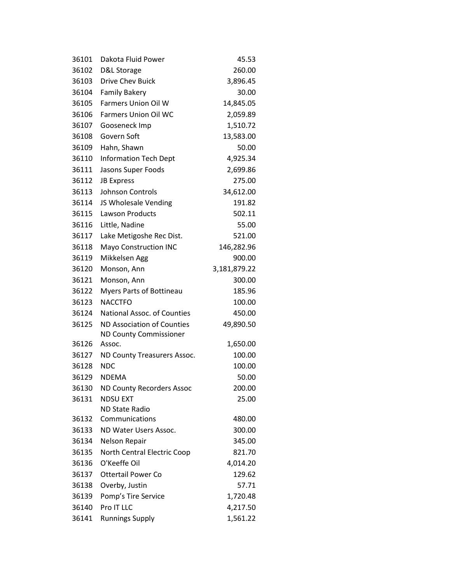| 36101 | Dakota Fluid Power                      | 45.53        |
|-------|-----------------------------------------|--------------|
| 36102 | D&L Storage                             | 260.00       |
| 36103 | Drive Chev Buick                        | 3,896.45     |
| 36104 | <b>Family Bakery</b>                    | 30.00        |
| 36105 | <b>Farmers Union Oil W</b>              | 14,845.05    |
| 36106 | <b>Farmers Union Oil WC</b>             | 2,059.89     |
| 36107 | Gooseneck Imp                           | 1,510.72     |
| 36108 | Govern Soft                             | 13,583.00    |
| 36109 | Hahn, Shawn                             | 50.00        |
| 36110 | <b>Information Tech Dept</b>            | 4,925.34     |
| 36111 | Jasons Super Foods                      | 2,699.86     |
| 36112 | <b>JB Express</b>                       | 275.00       |
| 36113 | Johnson Controls                        | 34,612.00    |
| 36114 | JS Wholesale Vending                    | 191.82       |
| 36115 | Lawson Products                         | 502.11       |
| 36116 | Little, Nadine                          | 55.00        |
| 36117 | Lake Metigoshe Rec Dist.                | 521.00       |
| 36118 | <b>Mayo Construction INC</b>            | 146,282.96   |
| 36119 | Mikkelsen Agg                           | 900.00       |
| 36120 | Monson, Ann                             | 3,181,879.22 |
| 36121 | Monson, Ann                             | 300.00       |
| 36122 | <b>Myers Parts of Bottineau</b>         | 185.96       |
| 36123 | <b>NACCTFO</b>                          | 100.00       |
| 36124 | National Assoc. of Counties             | 450.00       |
| 36125 | ND Association of Counties              | 49,890.50    |
|       | <b>ND County Commissioner</b>           |              |
| 36126 | Assoc.                                  | 1,650.00     |
| 36127 | ND County Treasurers Assoc.             | 100.00       |
| 36128 | <b>NDC</b>                              | 100.00       |
| 36129 | <b>NDEMA</b>                            | 50.00        |
| 36130 | <b>ND County Recorders Assoc</b>        | 200.00       |
| 36131 | <b>NDSU EXT</b>                         | 25.00        |
| 36132 | <b>ND State Radio</b><br>Communications | 480.00       |
| 36133 | ND Water Users Assoc.                   | 300.00       |
| 36134 | Nelson Repair                           | 345.00       |
| 36135 | North Central Electric Coop             | 821.70       |
| 36136 | O'Keeffe Oil                            | 4,014.20     |
| 36137 | <b>Ottertail Power Co</b>               | 129.62       |
| 36138 | Overby, Justin                          | 57.71        |
| 36139 | Pomp's Tire Service                     | 1,720.48     |
| 36140 | Pro IT LLC                              | 4,217.50     |
| 36141 | <b>Runnings Supply</b>                  | 1,561.22     |
|       |                                         |              |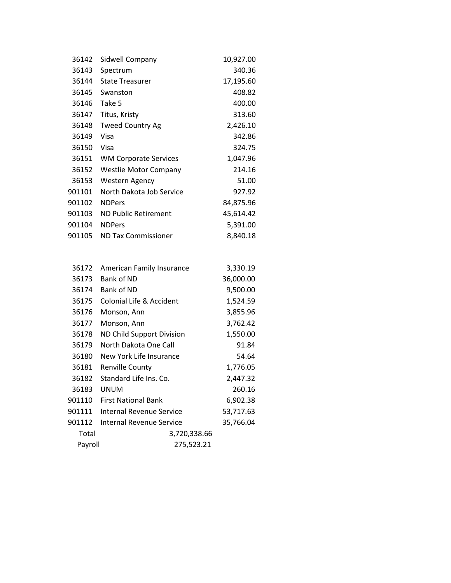| 36142  | Sidwell Company              | 10,927.00 |
|--------|------------------------------|-----------|
| 36143  | Spectrum                     | 340.36    |
| 36144  | <b>State Treasurer</b>       | 17,195.60 |
| 36145  | Swanston                     | 408.82    |
| 36146  | Take 5                       | 400.00    |
| 36147  | Titus, Kristy                | 313.60    |
| 36148  | <b>Tweed Country Ag</b>      | 2,426.10  |
| 36149  | Visa                         | 342.86    |
| 36150  | Visa                         | 324.75    |
| 36151  | <b>WM Corporate Services</b> | 1,047.96  |
| 36152  | Westlie Motor Company        | 214.16    |
| 36153  | Western Agency               | 51.00     |
| 901101 | North Dakota Job Service     | 927.92    |
| 901102 | <b>NDPers</b>                | 84,875.96 |
| 901103 | ND Public Retirement         | 45,614.42 |
| 901104 | <b>NDPers</b>                | 5,391.00  |
| 901105 | <b>ND Tax Commissioner</b>   | 8,840.18  |

| 36172   | American Family Insurance        | 3,330.19  |
|---------|----------------------------------|-----------|
| 36173   | Bank of ND                       | 36,000.00 |
| 36174   | <b>Bank of ND</b>                | 9,500.00  |
| 36175   | Colonial Life & Accident         | 1,524.59  |
| 36176   | Monson, Ann                      | 3,855.96  |
| 36177   | Monson, Ann                      | 3,762.42  |
| 36178   | <b>ND Child Support Division</b> | 1,550.00  |
| 36179   | North Dakota One Call            | 91.84     |
| 36180   | New York Life Insurance          | 54.64     |
| 36181   | <b>Renville County</b>           | 1,776.05  |
| 36182   | Standard Life Ins. Co.           | 2,447.32  |
| 36183   | UNUM                             | 260.16    |
| 901110  | <b>First National Bank</b>       |           |
| 901111  | <b>Internal Revenue Service</b>  | 53,717.63 |
| 901112  | <b>Internal Revenue Service</b>  | 35,766.04 |
| Total   | 3,720,338.66                     |           |
| Payroll | 275,523.21                       |           |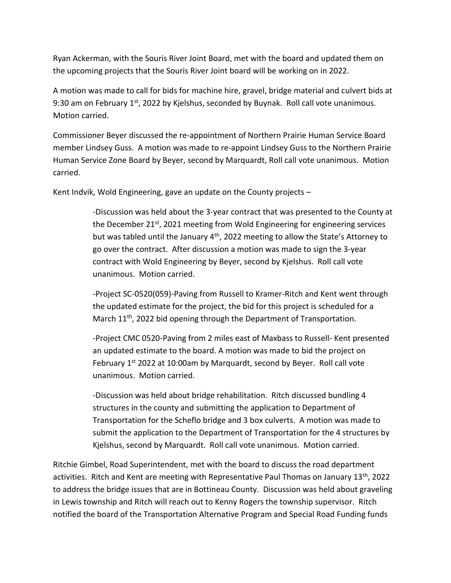Ryan Ackerman, with the Souris River Joint Board, met with the board and updated them on the upcoming projects that the Souris River Joint board will be working on in 2022.

A motion was made to call for bids for machine hire, gravel, bridge material and culvert bids at 9:30 am on February  $1^{st}$ , 2022 by Kjelshus, seconded by Buynak. Roll call vote unanimous. Motion carried.

Commissioner Beyer discussed the re-appointment of Northern Prairie Human Service Board member Lindsey Guss. A motion was made to re-appoint Lindsey Guss to the Northern Prairie Human Service Zone Board by Beyer, second by Marquardt, Roll call vote unanimous. Motion carried.

Kent Indvik, Wold Engineering, gave an update on the County projects  $-$ 

-Discussion was held about the 3-year contract that was presented to the County at the December 21<sup>st</sup>, 2021 meeting from Wold Engineering for engineering services but was tabled until the January 4<sup>th</sup>, 2022 meeting to allow the State's Attorney to go over the contract. After discussion a motion was made to sign the 3-year contract with Wold Engineering by Beyer, second by Kjelshus. Roll call vote unanimous. Motion carried.

-Project SC-0520(059)-Paving from Russell to Kramer-Ritch and Kent went through the updated estimate for the project, the bid for this project is scheduled for a March  $11<sup>th</sup>$ , 2022 bid opening through the Department of Transportation.

-Project CMC 0520-Paving from 2 miles east of Maxbass to Russell- Kent presented an updated estimate to the board. A motion was made to bid the project on February 1<sup>st</sup> 2022 at 10:00am by Marquardt, second by Beyer. Roll call vote unanimous. Motion carried.

-Discussion was held about bridge rehabilitation. Ritch discussed bundling 4 structures in the county and submitting the application to Department of Transportation for the Scheflo bridge and 3 box culverts. A motion was made to submit the application to the Department of Transportation for the 4 structures by Kjelshus, second by Marquardt. Roll call vote unanimous. Motion carried.

Ritchie Gimbel, Road Superintendent, met with the board to discuss the road department activities. Ritch and Kent are meeting with Representative Paul Thomas on January 13<sup>th</sup>, 2022 to address the bridge issues that are in Bottineau County. Discussion was held about graveling in Lewis township and Ritch will reach out to Kenny Rogers the township supervisor. Ritch notified the board of the Transportation Alternative Program and Special Road Funding funds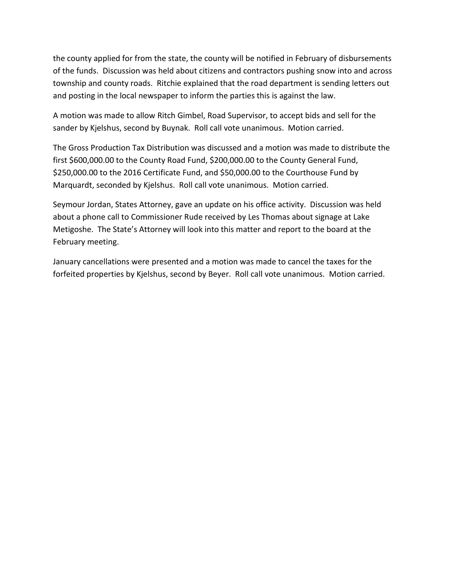the county applied for from the state, the county will be notified in February of disbursements of the funds. Discussion was held about citizens and contractors pushing snow into and across township and county roads. Ritchie explained that the road department is sending letters out and posting in the local newspaper to inform the parties this is against the law.

A motion was made to allow Ritch Gimbel, Road Supervisor, to accept bids and sell for the sander by Kjelshus, second by Buynak. Roll call vote unanimous. Motion carried.

The Gross Production Tax Distribution was discussed and a motion was made to distribute the first \$600,000.00 to the County Road Fund, \$200,000.00 to the County General Fund, \$250,000.00 to the 2016 Certificate Fund, and \$50,000.00 to the Courthouse Fund by Marquardt, seconded by Kjelshus. Roll call vote unanimous. Motion carried.

Seymour Jordan, States Attorney, gave an update on his office activity. Discussion was held about a phone call to Commissioner Rude received by Les Thomas about signage at Lake Metigoshe. The State's Attorney will look into this matter and report to the board at the February meeting.

January cancellations were presented and a motion was made to cancel the taxes for the forfeited properties by Kjelshus, second by Beyer. Roll call vote unanimous. Motion carried.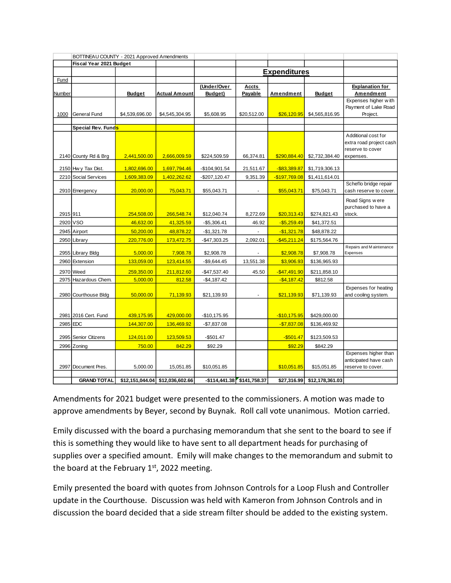|          | BOTTINEAU COUNTY - 2021 Approved Amendments |                     |                                 |                |                             |                 |                 |                                              |
|----------|---------------------------------------------|---------------------|---------------------------------|----------------|-----------------------------|-----------------|-----------------|----------------------------------------------|
|          | Fiscal Year 2021 Budget                     |                     |                                 |                |                             |                 |                 |                                              |
|          |                                             | <b>Expenditures</b> |                                 |                |                             |                 |                 |                                              |
| Fund     |                                             |                     |                                 |                |                             |                 |                 |                                              |
|          |                                             |                     |                                 | (Under/Over    | <b>Accts</b>                |                 |                 | <b>Explanation for</b>                       |
| Number   |                                             | <b>Budget</b>       | <b>Actual Amount</b>            | Budget)        | Payable                     | Amendment       | <b>Budget</b>   | <b>Amendment</b>                             |
|          |                                             |                     |                                 |                |                             |                 |                 | Expenses higher with<br>Payment of Lake Road |
| 1000     | General Fund                                | \$4,539,696.00      | \$4,545,304.95                  | \$5,608.95     | \$20,512.00                 | \$26,120.95     | \$4,565,816.95  | Project.                                     |
|          |                                             |                     |                                 |                |                             |                 |                 |                                              |
|          | Special Rev. Funds                          |                     |                                 |                |                             |                 |                 |                                              |
|          |                                             |                     |                                 |                |                             |                 |                 | Additional cost for                          |
|          |                                             |                     |                                 |                |                             |                 |                 | extra road project cash                      |
|          | 2140 County Rd & Brg                        | 2,441,500.00        | 2,666,009.59                    | \$224,509.59   | 66,374.81                   | \$290,884.40    | \$2,732,384.40  | reserve to cover<br>expenses.                |
|          |                                             |                     |                                 |                |                             |                 |                 |                                              |
|          | 2150 Hw y Tax Dist.                         | 1,802,696.00        | 1,697,794.46                    | $-$104,901.54$ | 21,511.67                   | $-$ \$83,389.87 | \$1,719,306.13  |                                              |
|          | 2210 Social Services                        | 1,609,383.09        | 1,402,262.62                    | $-$207,120.47$ | 9,351.39                    | $-$197,769.08$  | \$1,411,614.01  |                                              |
|          |                                             |                     |                                 |                |                             |                 |                 | Scheflo bridge repair                        |
|          | 2910 Emergency                              | 20,000.00           | 75,043.71                       | \$55,043.71    |                             | \$55,043.71     | \$75,043.71     | cash reserve to cover.                       |
|          |                                             |                     |                                 |                |                             |                 |                 | Road Signs w ere                             |
|          |                                             |                     |                                 |                |                             |                 |                 | purchased to have a                          |
| 2915 911 |                                             | 254,508.00          | 266,548.74                      | \$12,040.74    | 8,272.69                    | \$20,313.43     | \$274,821.43    | stock.                                       |
| 2920     | <b>VSO</b>                                  | 46,632.00           | 41,325.59                       | $-$5,306.41$   | 46.92                       | $-$5,259.49$    | \$41,372.51     |                                              |
|          | 2945 Airport                                | 50,200.00           | 48,878.22                       | $-$1,321.78$   |                             | $-$1,321.78$    | \$48,878.22     |                                              |
|          | 2950 Library                                | 220,776.00          | 173,472.75                      | $-$47,303.25$  | 2,092.01                    | $-$ \$45,211.24 | \$175,564.76    |                                              |
|          |                                             |                     |                                 |                |                             |                 |                 | Repairs and Maintenance<br>Expenses          |
|          | 2955 Library Bldg                           | 5,000.00            | 7,908.78                        | \$2,908.78     |                             | \$2,908.78      | \$7,908.78      |                                              |
|          | 2960 Extension                              | 133,059.00          | 123,414.55                      | $-$9,644.45$   | 13,551.38                   | \$3,906.93      | \$136,965.93    |                                              |
|          | 2970 Weed                                   | 259,350.00          | 211,812.60                      | $-$47,537.40$  | 45.50                       | $-$47,491.90$   | \$211,858.10    |                                              |
|          | 2975 Hazardous Chem.                        | 5,000.00            | 812.58                          | $-$4,187.42$   |                             | $-$4,187.42$    | \$812.58        |                                              |
|          |                                             |                     |                                 |                |                             |                 |                 | Expenses for heating                         |
|          | 2980 Courthouse Bldg                        | 50,000.00           | 71,139.93                       | \$21,139.93    |                             | \$21,139.93     | \$71,139.93     | and cooling system.                          |
|          |                                             |                     |                                 |                |                             |                 |                 |                                              |
|          | 2981 2016 Cert. Fund                        | 439,175.95          | 429,000.00                      | $-$10,175.95$  |                             | $-$10,175.95$   | \$429,000.00    |                                              |
|          | 2985 EDC                                    | 144,307.00          | 136,469.92                      | $-$7,837.08$   |                             | $-$7,837.08$    | \$136,469.92    |                                              |
|          |                                             |                     |                                 |                |                             |                 |                 |                                              |
|          | 2995 Senior Citizens                        | 124,011.00          | 123,509.53                      | $-$501.47$     |                             | $-$501.47$      | \$123,509.53    |                                              |
|          | 2996 Zoning                                 | 750.00              | 842.29                          | \$92.29        |                             | \$92.29         | \$842.29        |                                              |
|          |                                             |                     |                                 |                |                             |                 |                 | Expenses higher than                         |
|          |                                             |                     |                                 |                |                             |                 |                 | anticipated have cash                        |
|          | 2997 Document Pres.                         | 5,000.00            | 15,051.85                       | \$10,051.85    |                             | \$10,051.85     | \$15,051.85     | reserve to cover.                            |
|          | <b>GRAND TOTAL</b>                          |                     | \$12.151.044.04 \$12.036.602.66 |                | $-$114.441.38$ \$141.758.37 | \$27.316.99     | \$12.178.361.03 |                                              |

Amendments for 2021 budget were presented to the commissioners. A motion was made to approve amendments by Beyer, second by Buynak. Roll call vote unanimous. Motion carried.

Emily discussed with the board a purchasing memorandum that she sent to the board to see if this is something they would like to have sent to all department heads for purchasing of supplies over a specified amount. Emily will make changes to the memorandum and submit to the board at the February  $1<sup>st</sup>$ , 2022 meeting.

Emily presented the board with quotes from Johnson Controls for a Loop Flush and Controller update in the Courthouse. Discussion was held with Kameron from Johnson Controls and in discussion the board decided that a side stream filter should be added to the existing system.